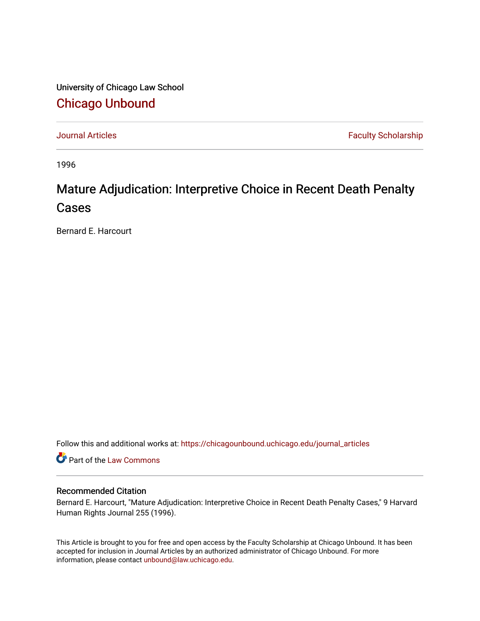University of Chicago Law School [Chicago Unbound](https://chicagounbound.uchicago.edu/)

[Journal Articles](https://chicagounbound.uchicago.edu/journal_articles) **Faculty Scholarship Faculty Scholarship** 

1996

# Mature Adjudication: Interpretive Choice in Recent Death Penalty Cases

Bernard E. Harcourt

Follow this and additional works at: [https://chicagounbound.uchicago.edu/journal\\_articles](https://chicagounbound.uchicago.edu/journal_articles?utm_source=chicagounbound.uchicago.edu%2Fjournal_articles%2F1462&utm_medium=PDF&utm_campaign=PDFCoverPages) 

Part of the [Law Commons](http://network.bepress.com/hgg/discipline/578?utm_source=chicagounbound.uchicago.edu%2Fjournal_articles%2F1462&utm_medium=PDF&utm_campaign=PDFCoverPages)

# Recommended Citation

Bernard E. Harcourt, "Mature Adjudication: Interpretive Choice in Recent Death Penalty Cases," 9 Harvard Human Rights Journal 255 (1996).

This Article is brought to you for free and open access by the Faculty Scholarship at Chicago Unbound. It has been accepted for inclusion in Journal Articles by an authorized administrator of Chicago Unbound. For more information, please contact [unbound@law.uchicago.edu](mailto:unbound@law.uchicago.edu).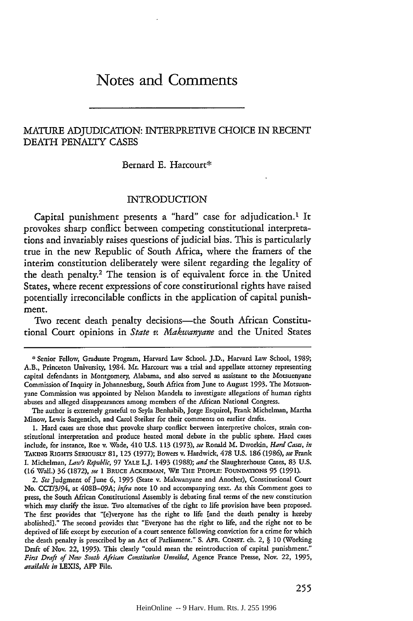# Notes and Comments

# MATURE ADJUDICATION: INTERPRETIVE CHOICE IN RECENT **DEATH** PENALTY **CASES**

#### Bernard E. Harcourt\*

### INTRODUCTION

Capital punishment presents a "hard" case for adjudication.<sup>1</sup> It provokes sharp conflict between competing constitutional interpretations and invariably raises questions of judicial bias. This is particularly true in the new Republic of South Africa, where the framers of the interim constitution deliberately were silent regarding the legality of the death penalty.2 The tension is of equivalent force in the United States, where recent expressions of core constitutional rights have raised potentially irreconcilable conflicts in the application of capital punishment.

Two recent death penalty decisions-the South African Constitutional Court opinions in *State v. Makwanyane* and the United States

The author is extremely grateful to Seyla Benhabib, Jorge Esquirol, Frank Michelman, Martha Minow, Lewis Sargentich, and Carol Steiker for their comments on earlier drafts.

**1.** Hard cases are those that provoke sharp conflict between interpretive choices, strain constitutional interpretation and produce heated moral debate in the public sphere. Hard cases include, for instance, Roe v. Wade, 410 U.S. 113 (1973), *see* Ronald M. Dworkin, *Hard Cases, in TAKING* RIGHTS SERIOUSLY **81,** 125 (1977); Bowers v. Hardwick, **478** U.S. **186** (1986), *see* Frank I. Michelman, *Law's Republic,* 97 YALE I.J. 1493 (1988); *and* the Slaughterhouse Cases, 83 U.S. (16 Wall.) **36** (1872), *see* 1 BRUCE ACKERMAsN, WE **THE** PEOPLE: **FOUNDATIONS 95** (1991).

2. *See* Judgment of June **6, 1995** (State v. Makwanyane and Another), Constitutional Court **No. CCT13194,** at 408B-09A; infra note **10** and accompanying text. As this Comment goes to press, the South African Constitutional Assembly is debating final terms of the new constitution which may clarify the issue. Two alternatives of the right to life provision have been proposed. The first provides that "[e]veryone has the right to life [and the death penalty is hereby abolished]." The second provides that "Everyone has the right to life, and the right not to be deprived of life except by execution of a court sentence following conviction for a crime for which the death penalty is prescribed by an Act of Parliament." **S.** AFR. CONST. ch. 2, § 10 (Working Draft of Nov. 22, 1995). This clearly "could mean the reintroduction of capital punishment." *First Draft of New South African Constitution Unveiled,* Agence France Presse, Nov. 22, 1995, *available in* LEXIS, AFP File.

<sup>\*</sup> Senior Fellow, Graduate Program, Harvard Law School. J.D., Harvard Law School, 1989; A.B., Princeton University, 1984. Mr. Harcourt was a trial and appellate attorney representing capital defendants in Montgomery, Alabama, and also served as assistant to the Mosuenyane Commission of Inquiry in Johannesburg, South Africa from June to August 1993. The Motsuenyane Commission was appointed by Nelson Mandela to investigate allegations of human rights abuses and alleged disappearances among members of the African National Congress.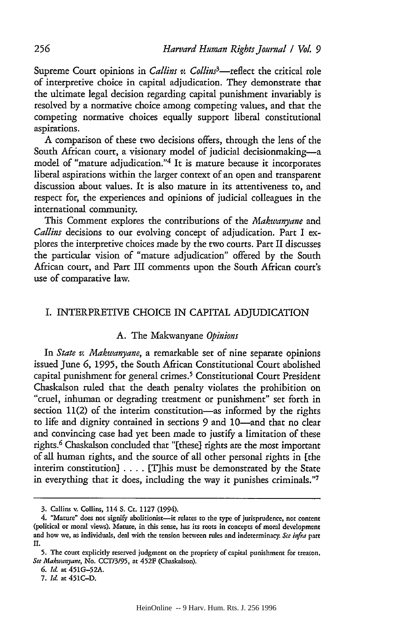Supreme Court opinions in *Callins v. Collins<sup>3</sup>*—reflect the critical role of interpretive choice in capital adjudication. They demonstrate that the ultimate legal decision regarding capital punishment invariably is resolved by a normative choice among competing values, and that the competing normative choices equally support liberal constitutional aspirations.

A comparison of these two decisions offers, through the lens of the South African court, a visionary model of judicial decisionmaking-a model of "mature adjudication."4 It is mature because it incorporates liberal aspirations within the larger context of an open and transparent discussion about values. It is also mature in its attentiveness to, and respect for, the experiences and opinions of judicial colleagues in the international community.

This Comment explores the contributions of the *Makwanyane* and *Callins* decisions to our evolving concept of adjudication. Part I explores the interpretive choices made by the two courts. Part II discusses the particular vision of "mature adjudication" offered by the South African court, and Part III comments upon the South African court's use of comparative law.

# I. INTERPRETIVE CHOICE IN CAPITAL ADJUDICATION

#### A. The Makwanyane *Opinions*

In *State v. Makwanyane,* a remarkable set of nine separate opinions issued June **6,** 1995, the South African Constitutional Court abolished capital punishment for general crimes.<sup>5</sup> Constitutional Court President Chaskalson ruled that the death penalty violates the prohibition on "cruel, inhuman or degrading treatment or punishment" set forth in section 11(2) of the interim constitution—as informed by the rights to life and dignity contained in sections 9 and 10-and that no clear and convincing case had yet been made to justify a limitation of these rights. 6 Chaskalson concluded that "[these] rights are the most important of all human rights, and the source of all other personal rights in [the interim constitution) **....** This must be demonstrated by the State in everything that it does, including the way it punishes criminals."7

<sup>3.</sup> Callins v. Collins, 114 **S.** Ct. 1127 (1994).

<sup>4. &</sup>quot;Mature" does not signify abolitionist-it relates to the type of jurisprudence, not content (political or moral views). Mature, in this sense, has its roots in concepts of moral development and how we, as individuals, deal with the tension between rules and indeterminacy. *See* infra part II.

**<sup>5.</sup>** The court explicitly reserved judgment on the propriety of capital punishment for treason. *See Makwanyane,* No. **CCT/3/95,** at 452F (Chaskalson).

**<sup>6.</sup>** *Id.* at 451G-52A.

<sup>7.</sup> *Id.* at 451C-D.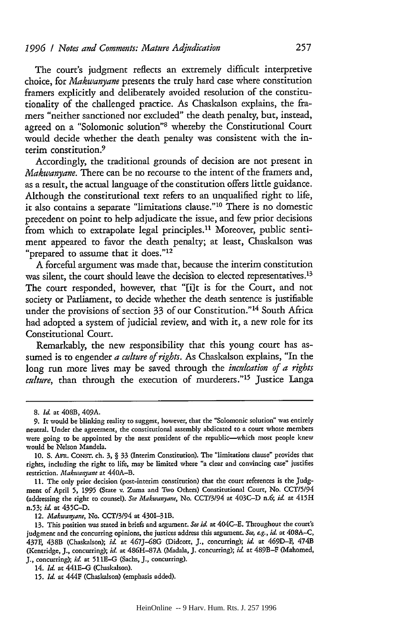The court's judgment reflects an extremely difficult interpretive choice, for *Makwanyane* presents the truly hard case where constitution framers explicitly and deliberately avoided resolution of the constitutionality of the challenged practice. As Chaskalson explains, the framers "neither sanctioned nor excluded" the death penalty, but, instead, agreed on a "Solomonic solution"<sup>8</sup> whereby the Constitutional Court would decide whether the death penalty was consistent with the interim constitution.<sup>9</sup>

Accordingly, the traditional grounds of decision are not present in *Makwanyane.* There can be no recourse to the intent of the framers and, as a result, the actual language of the constitution offers little guidance. Although the constitutional text refers to an unqualified right to life, it also contains a separate "limitations clause."<sup>10</sup> There is no domestic precedent on point to help adjudicate the issue, and few prior decisions from which to extrapolate legal principles.<sup>11</sup> Moreover, public sentiment appeared to favor the death penalty; at least, Chaskalson was "prepared to assume that it does."<sup>12</sup>

A forcefil argument was made that, because the interim constitution was silent, the court should leave the decision to elected representatives.<sup>13</sup> The court responded, however, that "[ilt is for the Court, and not society or Parliament, to decide whether the death sentence is justifiable under the provisions of section 33 of our Constitution."<sup>14</sup> South Africa had adopted a system of judicial review, and with it, a new role for its Constitutional Court.

Remarkably, the new responsibility that this young court has assumed is to engender *a culture of rights.* As Chaskalson explains, "In the long run more lives may be saved through the *inculcation of a rights culture*, than through the execution of murderers."<sup>15</sup> Justice Langa

**<sup>8.</sup>** *Id.* at 408B, 409A.

<sup>9.</sup> It would be blinking reality to suggest, however, that the "Solomonic solution" was entirely neutral. Under the agreement, the constitutional assembly abdicated to a court whose members were going to be appointed by the next president of the republic-which most people knew would be Nelson Mandela.

**<sup>10.</sup>** S. Ant. CONST. ch. **3,** § 33 (Interim Constitution). The "limitations clause" provides that rights, including the right to life, may be limited where "a clear and convincing case" justifies restriction. *Makwanyane* at **440A-B.**

<sup>11.</sup> The only prior decision (post-interim constitution) that the court references is the Judgment of April **5,** 1995 (State v. Zuma and Two Others) Constitutional Court, No. CCT/5/94 (addressing the right to counsel). *See Makwanyane,* No. CCT/3/94 at 403C-D n.6; *id.* at 415H n.53; *id.* at 435C-D.

<sup>12.</sup> *Makwaryane,* No. CCT/3/94 at 4301-3 lB.

<sup>13.</sup> This position was stated in briefs and argument. *See id* at 404C-E. Throughout the court's judgment and the concurring opinions, the justices address this argument. *See, eg., id.* at 408A-C, 437F, 438B (Chaskalson); id at 467J-68G (Didcott, **J.,** concurring); *id.* at 469D-F, 474B (Kentridge, **J.,** concurring); *id.* at 486H-87A (Madala, J. concurring); *id.* at 489B-F (Mahomed, **J.,** concurring); *id.* at 511E-G (Sachs, **J.,** concurring).

<sup>14.</sup> *Id.* at 441E-G (Chaskalson).

**<sup>15.</sup>** *Id.* at 444F (Chaskalson) (emphasis added).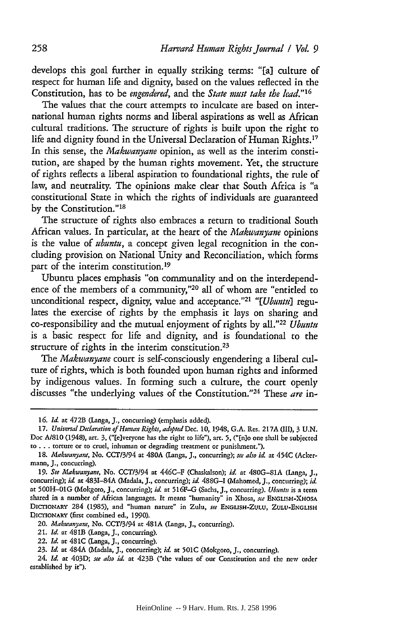develops this goal further in equally striking terms: **"[a]** culture of respect for human life and dignity, based on the values reflected in the Constitution, has to be *engendered,* and the *State must take the lead."'16*

The values that the court attempts to inculcate are based on international human rights norms and liberal aspirations as well as African cultural traditions. The structure of rights is built upon the right to life and dignity found in the Universal Declaration of Human Rights.<sup>17</sup> In this sense, the *Makwanyane* opinion, as well as the interim constitution, are shaped by the human rights movement. Yet, the structure of rights reflects a liberal aspiration to foundational rights, the rule of law, and neutrality. The opinions make clear that South Africa is "a constitutional State in which the rights of individuals are guaranteed by the Constitution."<sup>18</sup>

The structure of rights also embraces a return to traditional South African values. In particular, at the heart of the *Makwanyane* opinions is the value of *ubuntu,* a concept given legal recognition in the concluding provision on National Unity and Reconciliation, which forms part of the interim constitution. <sup>19</sup>

Ubuntu places emphasis "on communality and on the interdependence of the members of a community,"<sup>20</sup> all of whom are "entitled to unconditional respect, dignity, value and acceptance."<sup>21</sup> "[Ubuntu] regulates the exercise of rights by the emphasis it lays on sharing and co-responsibility and the mutual enjoyment of rights by all."<sup>22</sup> Ubuntu is a basic respect for life and dignity, and is foundational to the structure of rights in the interim constitution.<sup>23</sup>

*The Makwanyane* court is self-consciously engendering a liberal culture of rights, which is both founded upon human rights and informed by indigenous values. In forming such a culture, the court openly discusses "the underlying values of the Constitution. '24 These *are* in-

**<sup>16.</sup>** *Id.* at 472B (Langa, **J.,** concurring) (emphasis added).

*<sup>17.</sup>* Universal *Declaration of Human Rights, adopted Dec.* **10,** 1948, G.A. Res. 217A (Ill), 3 U.N. Doc **A/810** (1948), art. **3,** ("[elveryone **has** the right to life"), art. **5,** ("En]o one shall be subjected to... torture or to cruel, inhuman or degrading treatment or punishment.").

<sup>18.</sup> *Makwanyane,* No. **CCT/3/94** at 480A (Langa, **J.,** concurring); *see also id* at 454C (Ackermann, **J.,** concurring).

*<sup>19.</sup> See Makwanyane,* No. CCT/3/94 at 446C-F (Chaskalson); *id.* at 480G-81A (LInga, J., concurring); *id* at 4831-84A (Madala, **J.,** concurring); *id.* 488G-I (Mahomed, J., concurring); *id.* at 500H-O1G (Mokgoro, J., concurring); *id.* at **516F-G** (Sachs, **J.,** concurring). *Ubmniu* is a term shared in a number of African languages. It means "humanity" in Xhosa, *se* **ENGLISH-X-IOSA** DiCriONARY 284 (1985), and "human nature" in Zulu, *see* **ENGLISH-ZULU, ZULU-ENGLISH DIcrIoNARY** (first combined **ed., 1990).**

**<sup>20.</sup>** *Makwanyane,* **No. CCT/3194 at** 481A **(langa, J.,** concurring).

**<sup>21.</sup>** *Id.* **at 481B (Langa,** J., concurring).

<sup>22.</sup> *Id.* **at** 481C (Langa, **J.,** concurring).

**<sup>23.</sup>** *Id.* **at 484A (Madala, J.,** concurring); *id.* **at 501C (Mokgoro, J.,** concurring).

**<sup>24.</sup>** *Id.* **at 403D;** *see also id.* **at** 423B ("the values **of our** Constitution **and the** new **order** established **by** it").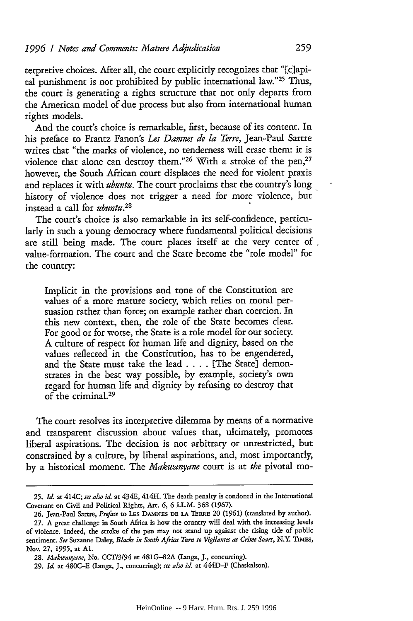terpretive choices. After all, the court explicitly recognizes that "[clapital punishment is not prohibited by public international law."25 Thus, the court is generating a rights structure that not only departs from the American model of due process but also from international human rights models.

And the court's choice is remarkable, first, because of its content. In his preface to Frantz Fanon's *Les Damnes de la Terre,* Jean-Paul Sartre writes that "the marks of violence, no tenderness will erase them: it is violence that alone can destroy them."<sup>26</sup> With a stroke of the pen,<sup>27</sup> however, the South African court displaces the need for violent praxis and replaces it with *ubuntu.* The court proclaims that the country's long history of violence does not trigger a need for more violence, but instead a call for *ubuntu.28*

The court's choice is also remarkable in its self-confidence, particularly in such a young democracy where fundamental political decisions **are** still being made. The court places itself at the very center **of.** value-formation. The court and the State become the "role model" for the country:

Implicit in the provisions and tone of the Constitution are values of a more mature society, which relies on moral persuasion rather than force; on example rather than coercion. In this new context, then, the role of the State becomes clear. For good or for worse, the State is a role model for our society. A culture of respect for human life and dignity, based on the values reflected in the Constitution, has to be engendered, and the State must take the lead .... [The State] demonstrates in the best way possible, by example, society's own regard for human life and dignity by refusing to destroy that of the criminal.<sup>29</sup>

The court resolves its interpretive dilemma by means of a normative and transparent discussion about values that, ultimately, promotes liberal aspirations. The decision is not arbitrary or unrestricted, but constrained by a culture, by liberal aspirations, and, most importantly, by a historical moment. The *Makwanyane* court is at *the* pivotal mo-

**<sup>25.</sup>** *Id.* at 414C; *see also id.* at 434E, 414H. The death penalty is condoned in the International Covenant on Civil and Political Rights, Art. **6, 6** I.L.M. **368** (1967).

<sup>26.</sup> Jean-Paul Sartre, *Preface* to LES DAMNES DE LA TERRE 20 (1961) (translated by author).

<sup>27.</sup> A great challenge in South Africa is how the country will deal with the increasing levels of violence. Indeed, the stroke of the pen may not stand up against the rising tide of public sentiment. *See* Suzanne Daley, *Blacks in South Africa Turn to Vigilantes as Crime Soars, N.Y TIMEs,* Nov. 27, **1995,** at **Al.**

<sup>28.</sup> *Afakuanyane,* No. CCT/3/94 at 481G-82A (langa, J., concurring).

**<sup>29.</sup>** *Id.* at 480C-E (langa, J., concurring); *see also id.* at 444D-F (Chaskalson).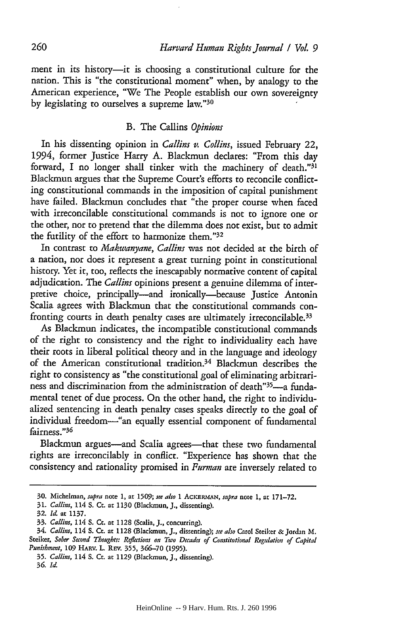ment in its history--it is choosing a constitutional culture for the nation. This is "the constitutional moment" when, by analogy to the American experience, "We The People establish our own sovereignty by legislating to ourselves a supreme law."<sup>30</sup>

## B. The Calins *Opinions*

In his dissenting opinion in *Callins v. Collins,* issued February 22, 1994, former Justice Harry A. Blackmun declares: "From this day forward, I no longer shall tinker with the machinery of death." $31$ Blackmun argues that the Supreme Court's efforts to reconcile conflicting constitutional commands in the imposition of capital punishment have failed. Blackmun concludes that "the proper course when faced with irreconcilable constitutional commands is not to ignore one or the other, nor to pretend that the dilemma does not exist, but to admit the futility of the effort to harmonize them."<sup>32</sup>

In contrast to *Makwanyane, Callins* was not decided at the birth of a nation, nor does it represent a great turning point in constitutional history. Yet it, too, reflects the inescapably normative content of capital adjudication. The *Callins* opinions present a genuine dilemma of interpretive choice, principally--and ironically-because Justice Antonin Scalia agrees with Blackmun that the constitutional commands confronting courts in death penalty cases are ultimately irreconcilable. <sup>33</sup>

As Blackmun indicates, the incompatible constitutional commands of the right to consistency and the right to individuality each have their roots in liberal political theory and in the language and ideology of the American constitutional tradition.<sup>34</sup> Blackmun describes the right to consistency as "the constitutional goal of eliminating arbitrariness and discrimination from the administration of death"<sup>35</sup>-a fundamental tenet of due process. On the other hand, the right to individualized sentencing in death penalty cases speaks directly to the goal of individual freedom-"an equally essential component of fundamental fairness."36

Blackmun argues-and Scalia agrees-that these two fundamental rights are irreconcilably in conflict. "Experience has shown that the consistency and rationality promised in *Furman* are inversely related to

<sup>30.</sup> Michelman, *supra* note **1,** at 1509; *see also* **1** *AcKmiN, supra* note 1, **at** 171-72.

<sup>31.</sup> *Callins,* 114 **S.** Ct. at 1130 (Blackmun, **J.,** dissenting).

<sup>32.</sup> *Id.* at **1137.**

<sup>33.</sup> *Callins,* 114 S. Cc. at **1128** (Scalia, **J.,** concurring).

<sup>34.</sup> *Callins,* 114 S. Ct. at 1128 (Blackmun, **J.,** dissenting); *see also* Carol Steiker & Jordan M. Steiker, Sober Second Thoughts: Reflections on Two Decades of Constitutional Regulation of Capital *Punishment,* 109 HARV. L. REV. **355, 366-70** (1995).

**<sup>35.</sup>** *Callins,* 114 S. Ct. at 1129 (Blackmun, **J.,** dissenting).

**<sup>36.</sup>** *Id.*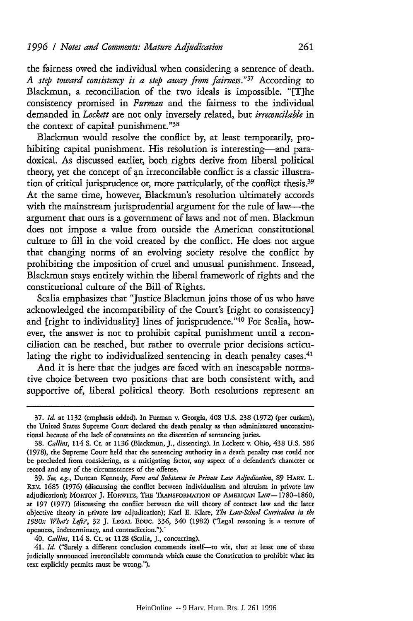the fairness owed the individual when considering a sentence of death. *A step toward consistency is a step away from fairness."37* According to Blackmun, a reconciliation of the two ideals is impossible. "The consistency promised in *Furman* and the fairness to the individual demanded in *Lockett* are not only inversely related, but *irreconcilable* in the context of capital punishment."<sup>38</sup>

Blackmun would resolve the conflict by, at least temporarily, prohibiting capital punishment. His resolution is interesting-and paradoxical. As discussed earlier, both rights derive from liberal political theory, yet the concept of **an** irreconcilable conflict is a classic illustration of critical jurisprudence or, more particularly, of the conflict thesis.<sup>39</sup> At the same time, however, Blackmun's resolution ultimately accords with the mainstream jurisprudential argument for the rule of law—the argument that ours is a government of laws and not of men. Blackmun does not impose a value from outside the American constitutional culture to fill in the void created by the conflict. He does not argue that changing norms of an evolving society resolve the conflict by prohibiting the imposition of cruel and unusual punishment. Instead, Blackmun stays entirely within the liberal framework of rights and the constitutional culture of the Bill of Rights.

Scalia emphasizes that "Justice Blackmun joins those of us who have acknowledged the incompatibility of the Court's [right to consistency] and [right to individuality] lines of jurisprudence."<sup>40</sup> For Scalia, however, the answer is not to prohibit capital punishment until a reconciliation can be reached, but rather to overrule prior decisions articulating the right to individualized sentencing in death penalty cases.<sup>41</sup>

And it is here that the judges are faced with an inescapable normative choice between two positions that are both consistent with, and supportive of, liberal political theory. Both resolutions represent an

<sup>37.</sup> *Id* at 1132 (emphasis added). In Furman v. Georgia, 408 U.S. 238 (1972) (per curiam), the United States Supreme Court declared the death penalty as then administered unconstitutional because of the lack of constraints on the discretion of sentencing juries.

<sup>38.</sup> *Callins,* 114 S. Cr. at 1136 (Blackmun, **J.,** dissenting). In Lockett v. Ohio, 438 U.S. **586** (1978), the Supreme Court held that the sentencing authority in a death penalty case could not be precluded from considering, as a mitigating factor, any aspect of a defendant's character or record and any of the circumstances of the offense.

<sup>39.</sup> *See, ag.,* Duncan Kennedy, *Form and Substance in Private Law Adjudication,* **89 HARV. L. REv.** 1685 (1976) (discussing the conflict between individualism and altruism in private law adjudication); MORTON J. HORWITZ, **THE** TRANSFORMATION **OF AmERICAN lAw-** 1780-1860, at 197 (1977) (discussing the conflict between the will theory of contract law and the later objective theory in private law adjudication); Karl E. Klare, *The Law-School Curriculum in the 1980s: What's Left?,* **32 J. LEGAL EDUc. 336,** 340 (1982) ("Legal reasoning is a texture of openness, indeterminacy, and contradiction.").'

<sup>40.</sup> *Callins,* 114 **S.** Ct. at 1128 (Scalia, **J.,** concurring).

<sup>41.</sup> Id. ("Surely a different conclusion commends itself- to wit, that at least one of these judicially announced irreconcilable commands which cause the Constitution to prohibit what its text explicitly permits must be wrong.").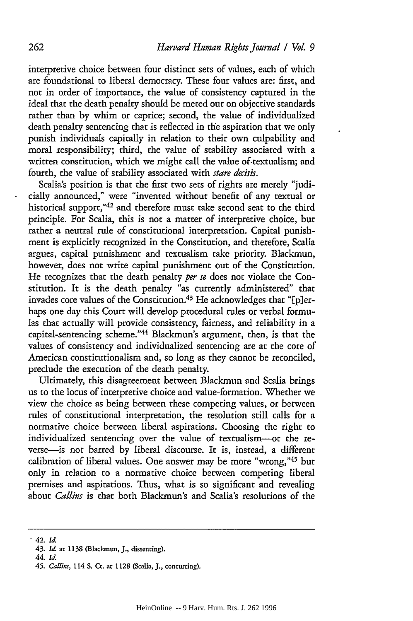interpretive choice between four distinct sets of values, each of which are foundational to liberal democracy. These four values are: first, and not in order of importance, the value of consistency captured in the ideal that the death penalty should be meted out on objective standards rather than by whim or caprice; second, the value of individualized death penalty sentencing that is reflected in the aspiration that we only punish individuals capitally in relation to their own culpability and moral responsibility; third, the value of stability associated with a written constitution, which we might call the value of-textualism; and fourth, the value of stability associated with *stare decis.*

Scalia's position is that the first two sets of rights are merely "judicially announced," were "invented without benefit of any textual or historical support,"42 and therefore must take second seat to the third principle. For Scalia, this is not a matter of interpretive choice, but rather a neutral rule of constitutional interpretation. Capital punishment is explicitly recognized in the Constitution, and therefore, Scalia argues, capital punishment and textualism take priority. Blackmun, however, does not write capital punishment out of the Constitution. He recognizes that the death penalty *per se* does not violate the Constitution. It is the death penalty "as currently administered" that invades core values of the Constitution.<sup>43</sup> He acknowledges that "[p]erhaps one day this Court will develop procedural rules or verbal formulas that actually will provide consistency, fairness, and reliability in a capital-sentencing scheme."<sup>44</sup> Blackmun's argument, then, is that the values of consistency and individualized sentencing are at the core of American constitutionalism and, so long as they cannot be reconciled, preclude the execution of the death penalty.

Ultimately, this disagreement between Blackmun and Scalia brings us to the locus of interpretive choice and value-formation. Whether we view the choice as being between these competing values, or between rules of constitutional interpretation, the resolution still calls for a normative choice between liberal aspirations. Choosing the right to individualized sentencing over the value of textualism-or the reverse-is not barred by liberal discourse. It is, instead, a different calibration of liberal values. One answer may be more "wrong,"45 but only in relation to a normative choice between competing liberal premises and aspirations. Thus, what is so significant and revealing about *Callins* is that both Blackmun's and Scalia's resolutions of the

<sup>42.</sup> *Id.*

<sup>43.</sup> *Id.* at 1138 (Blackmun, **J.,** dissenting).

<sup>44.</sup> *Id.*

<sup>45.</sup> *Callins,* 114 **S.** Ct. at 1128 (Scalia, *J.,* concurring).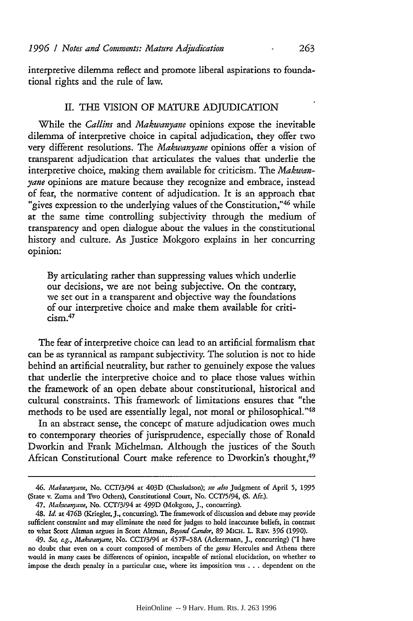interpretive dilemma reflect and promote liberal aspirations to foundational rights and the rule of law.

## II. THE VISION OF MATURE ADJUDICATION

While the *Callins and Makwanyane* opinions expose the inevitable dilemma of interpretive choice in capital adjudication, they offer two very different resolutions. The *Makwanyane* opinions offer a vision of transparent adjudication that articulates the values that underlie the interpretive choice, making them available for criticism. The *Makwanyane* opinions are mature because they recognize and embrace, instead of fear, the normative content of adjudication. It is an approach that "gives expression to the underlying values of the Constitution,"  $46$  while at the same time controlling subjectivity through the medium of transparency and open dialogue about the values in the constitutional history and culture. As Justice Mokgoro explains in her concurring opinion:

By articulating rather than suppressing values which underlie our decisions, we are not being subjective. On the contrary, we set out in a transparent and objective way the foundations of our interpretive choice and make them available for criti $c$ ism $.47$ 

The fear of interpretive choice can lead to an artificial formalism that can be as tyrannical as rampant subjectivity. The solution is not to hide behind an artificial neutrality, but rather to genuinely expose the values that underlie the interpretive choice and to place those values within the framework of an open debate about constitutional, historical and cultural constraints. This framework of limitations ensures that "the methods to be used are essentially legal, not moral or philosophical. '48

In an abstract sense, the concept of mature adjudication owes much to contemporary theories of jurisprudence, especially those of Ronald Dworkin and Frank Michelman. Although the justices of the South African Constitutional Court make reference to Dworkin's thought,<sup>49</sup>

*<sup>46.</sup> Makwayane,* No. *CCT3194* at 403D (Chaskalson); *see also* Judgment of April **5,** 1995 (State v. Zuma and Two Others), Constitutional Court, No. **CCT/5/94,** (S. Mr.).

<sup>47.</sup> *Makwayane,* No. **CCT/3/94** at 499D (Mokgoro, **J.,** concurring).

<sup>48.</sup> *Id.* at 476B (Kriegler, J., concurring). The framework of discussion and debate may provide sufficient constraint and may eliminate the need for judges to hold inaccurate beliefs, in contrast to what Scott Altman argues in Scott Altman, *Beyond Candor,* **89** MIcH. L. REV. *396* (1990).

*<sup>49.</sup> See, ag., Makwanyane,* No. *CCT/3194* at 457F-58A (Ackermann, **J.,** concurring) ("I have no doubt that even on a court composed of members of the *gena* Hercules and Athena there would in many cases be differences of opinion, incapable of rational elucidation, on whether to impose the death penalty in a particular case, where its imposition was ... dependent on the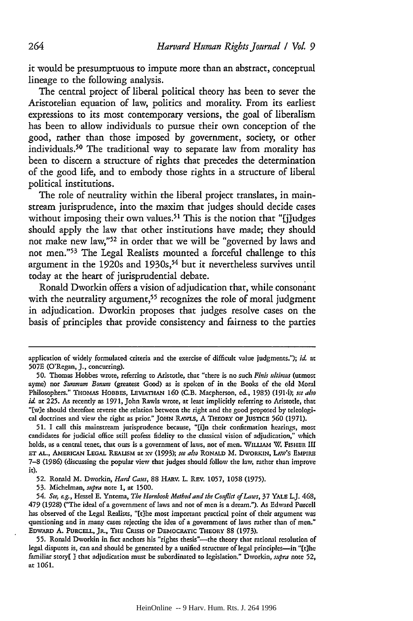it would be presumptuous to impute more than an abstract, conceptual lineage to the following analysis.

The central project of liberal political theory has been to sever the Aristotelian equation of law, politics and morality. From its earliest expressions to its most contemporary versions, the goal of liberalism has been to allow individuals to pursue their own conception of the good, rather than those imposed **by** government, society, or other individuals.50 The traditional way to separate law from morality has been to discern a structure of rights that precedes the determination of the good life, and to embody those rights in a structure of liberal political institutions.

The role of neutrality within the liberal project translates, in mainstream jurisprudence, into the maxim that judges should decide cases without imposing their own values.<sup>51</sup> This is the notion that "[j]udges should apply the law that other institutions have made; they should not make new **law,"<sup>52</sup>**in order that we will be "governed **by** laws and not men."<sup>53</sup> The Legal Realists mounted a forceful challenge to this argument in the 1920s and **1930s, <sup>54</sup>**but it nevertheless survives until today at the heart of jurisprudential debate.

Ronald Dworkin offers a vision of adjudication that, while consonant with the neutrality argument,<sup>55</sup> recognizes the role of moral judgment in adjudication. Dworkin proposes that judges resolve cases on the basis of principles that provide consistency and fairness to the parties

**51.** I call this mainstream jurisprudence because, "[i]n their confirmation hearings, most candidates for judicial office still profess fidelity to the classical vision of adjudication," which holds, as a central tenet, that ours is a government of laws, not of men. WILLIAM W. FISHER III ET AL., AMERICAN LEGAL REALISM at xv (1993); *see also* RONALD M. DWORKIN, LAW'S EMPIRE 7-8 (1986) (discussing the popular view that judges should follow the law, rather than improve **it).**

**52.** Ronald M. Dworkin, *Hard Cases,* 88 HARV. L. REV. **1057, 1058** (1975).

53. Michelman, *supra* note **1,** at **1500.**

*54. See, eg.,* Hessel **E.** Yntema, *The Hornbook Method and the Conflia of Laws,* 37 YALE **LJ.** 468, 479 (1928) ("The ideal of a government of laws and not of men is a dream."). As Edward Purcell has observed of the Legal Realists, "[tihe most important practical point of their argument was questioning and in many cases rejecting the idea of a government of laws rather than of men." EDWARD A. PURCELL, JR., THE CRISIS OF DEMOCRATIC THEORY 88 (1973).

55. Ronald Dworkin in fact anchors his "rights thesis"-the theory that rational resolution of legal disputes is, can and should be generated by a unified structure of legal principles--in "[t]he familiar story[ **)** that adjudication must be subordinated to legislation." Dworkin, *supra* note **52,** at **1061.**

application of widely formulated criteria and the exercise of difficult value judgments."); *id.* at 507E (O'Regan, **J.,** concurring).

**<sup>50.</sup>** Thomas Hobbes wrote, referring to Aristotle, that "there is no such *Finis ultimus* (utmost ayme) nor *Summum Bonum* (greatest Good) as is spoken of in the Books of the old Moral Philosophers." THOMAS HOBBES, LEVIATHAN **160** (C.B. Macpherson, ed., 1985) (1914); *sce also id.* at 225. As recently as 1971, John Rawls wrote, at least implicitly referring to Aristotle, that **"[w]e** should therefore reverse the relation between the right and the good proposed by teleological doctrines and view the right as prior." **JOHN RAWLS,** A THEORY **OF JUtiscE 560** (1971).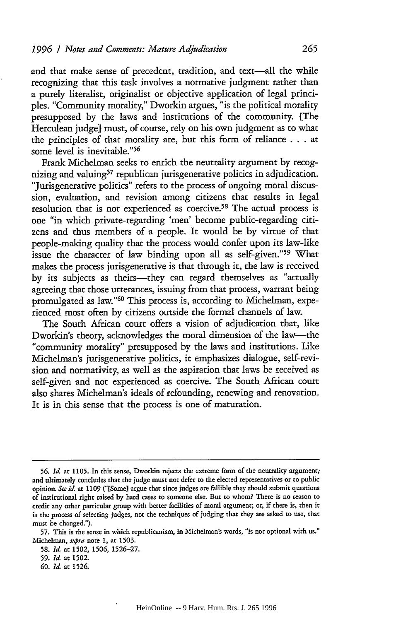and that make sense of precedent, tradition, and text-all the while recognizing that this task involves a normative judgment rather than a purely literalist, originalist or objective application of legal principles. "Community morality," Dworkin argues, "is the political morality presupposed by the laws and institutions of the community. [The Herculean judge] must, of course, rely on his own judgment as to what the principles of that morality are, but this form of reliance . . . at some level is inevitable."<sup>56</sup>

Frank Michelman seeks to enrich the neutrality argument by recognizing and valuing<sup>57</sup> republican jurisgenerative politics in adjudication. "Jurisgenerative politics" refers to the process of ongoing moral discussion, evaluation, and revision among citizens that results in legal resolution that is not experienced as coercive.<sup>58</sup> The actual process is one "in which private-regarding 'men' become public-regarding citizens and thus members of a people. It would be by virtue of that people-making quality that the process would confer upon its law-like issue the character of law binding upon all as self-given."<sup>59</sup> What makes the process jurisgenerative is that through it, the law is received by its subjects as theirs-they can regard themselves as "actually agreeing that those utterances, issuing from that process, warrant being promulgated as law."60 This process is, according to Michelman, experienced most often by citizens outside the formal channels of law.

The South African court offers a vision of adjudication that, like Dworkin's theory, acknowledges the moral dimension of the law-the "community morality" presupposed by the laws and institutions. Like Michelman's jurisgenerative politics, it emphasizes dialogue, self-revision and normativity, as well as the aspiration that laws be received as self-given and not experienced as coercive. The South African court also shares Michelman's ideals of refounding, renewing and renovation. It is in this sense that the process is one of maturation.

**<sup>56.</sup>** *Id.* **at 1105.** In this sense, Dworkin rejects the extreme form of the neutrality argument, and ultimately concludes that the judge must not defer to the elected representatives or to public opinion. See id. at 1109 ("[Some] argue that since judges are fallible they should submit questions of institutional right raised by hard cases to someone else. But to whom? There is no reason to credit any other particular group with better facilities of moral argument; or, if there is, then **it** is the process of selecting judges, not the techniques of judging that they are asked to use, that must be changed.").

<sup>57.</sup> This is the sense in which republicanism, in Michelman's words, "is not optional with us." Michelman, supra note 1, at **1503.**

**<sup>58.</sup>** *Id.* at **1502, 1506,** 1526-27.

**<sup>59.</sup>** *Id.* at **1502.**

**<sup>60.</sup>** *Id.* at 1526.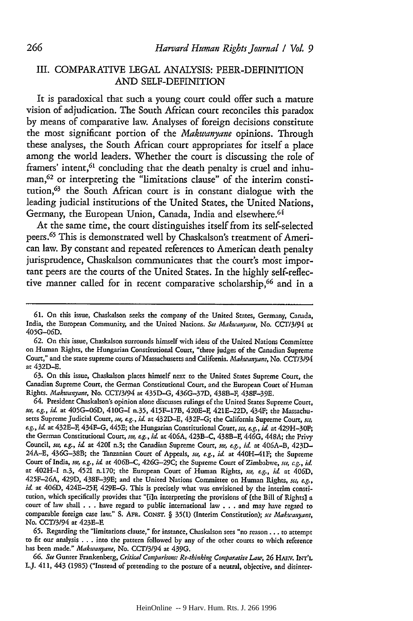# III. COMPARATIVE **LEGAL** ANALYSIS: PEER-DEFINITION **AND** SELF-DEFINITION

It is paradoxical that such a young court could offer such a mature vision of adjudication. The South African court reconciles this paradox **by** means of comparative law. Analyses of foreign decisions constitute the most significant portion of the *Makwanyane* opinions. Through these analyses, the South African court appropriates for itself a place among the world leaders. Whether the court is discussing the role of framers' intent,<sup>61</sup> concluding that the death penalty is cruel and inhuman,62 or interpreting the "limitations clause" of the interim constitution,63 the South African court is in constant dialogue with the leading judicial institutions of the United States, the United Nations, Germany, the European Union, Canada, India and elsewhere.<sup>64</sup>

At the same time, the court distinguishes itself from its self-selected peers. 65 This is demonstrated well **by** Chaskalson's treatment of American law. **By** constant and repeated references to American death penalty jurisprudence, Chaskalson communicates that the court's most important peers are the courts of the United States. In the **highly** self-reflective manner called for in recent comparative scholarship, 66 and in a

**63.** On this issue, Chaskalson places himself next to the United States Supreme Court, the Canadian Supreme Court, the German Constitutional Court, and the European Court of Human Rights. *Makwanyane,* No. CCT3194 at 435D-G, 436G-37D, 438B-F, 438F-39E.

64. President Chaskalson's opinion alone discusses rulings of the United States Supreme Court, *see, eg., id.* at **405G-06D,** 410G-I n.35, 415F-17B, 420E-, 421E-22D, 434F; the Massachusetts Supreme Judicial Court, *see, e.g., id.* at 432D-E, 432F-G; the California Supreme Court, *sce, eg., id.* at 432E-F, 434F-G, 445E; the Hungarian Constitutional Court, *see, e.g., id* at 429H-30F; the German Constitutional Court, *see, eg., id.* at 406A, 423B-C, 438B-F, 446G, 448A; the Privy Council, *see, e.g., id* at 4201 n.3; the Canadian Supreme Court, *see, e.g., id.* at 406A-B, 423D-24A-E, 436G-38B; the Tanzanian Court of Appeals, *see, &g., id.* at 440H-41F; the Supreme Court of India, *see, eg., id* at 406B-C, 426G-29C; the Supreme Court of Zimbabwe, *see, e.g., id* at 402H-I n.3, 4521 n.170; the European Court of Human Rights, *see, e.g., id* at 406D, 425F-26A, 429D, 438F-39E; and the United Nations Committee on Human Rights, *se, e.g.,* id. at 406D, 424E-25F, 429E-G. This is precisely what was envisioned by the interim constitution, which specifically provides that "fi]n interpreting the provisions of [the Bill of Rights] a court of law shall . . . have regard to public international law . . . and may have regard to comparable foreign case law." S. AFR. CONSr. *§* 35(1) (Interim Constitution); *sce Makuanyane,* No. **CCT13/94** at 423E-F.

**65.** Regarding the "limitations clause," for instance, Chaskalson sees "no reason... to attempt to **fir** our analysis . . . into the pattern followed by any of the other courts to which reference has been made." *Makwanyane,* No. **CCT13/94** at 439G.

66. See Gunter Frankenberg, *Critical Comparisons: Re-thinking Comparative Law*, 26 HARV. INT'L UJ. 411, 443 (1985) ("Instead of pretending to the posture of a neutral, objective, and disinter-

**<sup>61.</sup>** On this issue, Chaskalson seeks the company of the United States, Germany, Canada, India, the European Community, and the United Nations. *See Makwanyane,* No. CC73/94 at **405G-06D.**

**<sup>62.</sup>** On this issue, Chaskalson surrounds himself with ideas of the United Nations Committee on Human Rights, the Hungarian Constitutional Court, "three judges of the Canadian Supreme Court," and the state supreme courts of Massachusetts and California. *Makwanyane,* No. **CCT/3194** at 432D-E.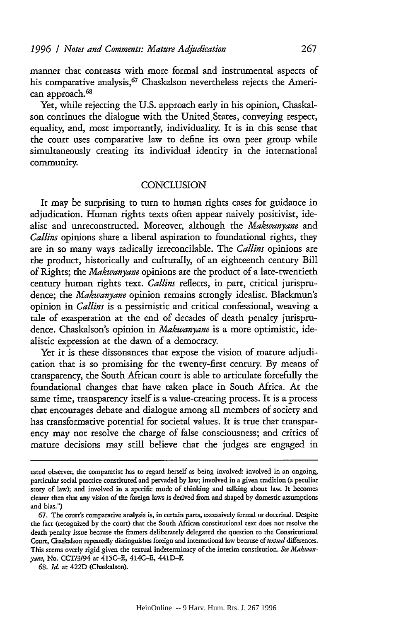manner that contrasts with more formal and instrumental aspects of his comparative analysis,<sup>67</sup> Chaskalson nevertheless rejects the American approach.<sup>68</sup>

Yet, while rejecting the U.S. approach early in his opinion, Chaskalson continues the dialogue with the United States, conveying respect, equality, and, most importantly, individuality. It is in this sense that the court uses comparative law to define its own peer group while simultaneously creating its individual identity in the international community.

## **CONCLUSION**

It may be surprising to turn to human rights cases for guidance in adjudication. Human rights texts often appear naively positivist, idealist and unreconstructed. Moreover, although the *Makwanyane* and Callins opinions share a liberal aspiration to foundational rights, they are in so many ways radically irreconcilable. The Callins opinions are the product, historically and culturally, of an eighteenth century Bill of Rights; the *Makwanyane* opinions are the product of a late-twentieth century human rights text. *Callins* reflects, in part, critical jurisprudence; the *Makwanyane* opinion remains strongly idealist. Blackmun's opinion in *Callins* is a pessimistic and critical confessional, weaving a tale of exasperation at the end of decades of death penalty jurisprudence. Chaskalson's opinion in *Makwanyane* is a more optimistic, idealistic expression at the dawn of a democracy.

Yet it is these dissonances that expose the vision of mature adjudication that is so promising for the twenty-first century. By means of transparency, the South African court is able to articulate forcefully the foundational changes that have taken place in South Africa. At the same time, transparency itself is a value-creating process. It is a process that encourages debate and dialogue among all members of society and has transformative potential for societal values. It is true that transparency may not resolve the charge of false consciousness; and critics of mature decisions may still believe that the judges are engaged in

ested observer, the comparatist has to regard herself as being involved: involved in an ongoing, particular social practice constituted and pervaded by law; involved in a given tradition (a peculiar story of law); and involved in a specific mode of thinking and talking about law. It becomes clearer then that any vision of the fbreign laws is derived from and shaped by domestic assumptions and bias.")

**<sup>67.</sup>** The court's comparative analysis is, in certain parts, excessively formal or doctrinal. Despite the fact (recognized by the court) that the South African constitutional text does not resolve the death penalty issue because the framers deliberately delegated the question to the Constitutional Court, Chaskalson repeatedly distinguishes foreign and international law because of textual differences. This seems overly rigid given the textual indeterminacy of the interim constitution. *See Makwanyane,* No. CCT/3/94 at 415C-E, 414C-E, 441D-F.

<sup>68.</sup> Id. at 422D (Chaskalson).